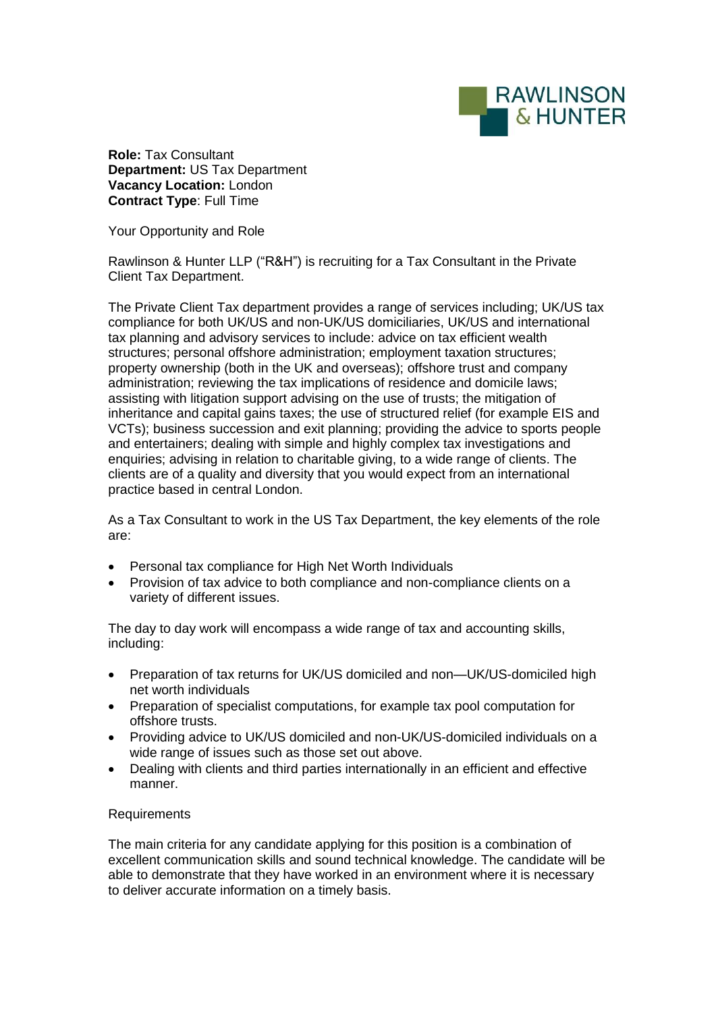

**Role:** Tax Consultant **Department:** US Tax Department **Vacancy Location:** London **Contract Type**: Full Time

Your Opportunity and Role

Rawlinson & Hunter LLP ("R&H") is recruiting for a Tax Consultant in the Private Client Tax Department.

The Private Client Tax department provides a range of services including; UK/US tax compliance for both UK/US and non-UK/US domiciliaries, UK/US and international tax planning and advisory services to include: advice on tax efficient wealth structures; personal offshore administration; employment taxation structures; property ownership (both in the UK and overseas); offshore trust and company administration; reviewing the tax implications of residence and domicile laws; assisting with litigation support advising on the use of trusts; the mitigation of inheritance and capital gains taxes; the use of structured relief (for example EIS and VCTs); business succession and exit planning; providing the advice to sports people and entertainers; dealing with simple and highly complex tax investigations and enquiries; advising in relation to charitable giving, to a wide range of clients. The clients are of a quality and diversity that you would expect from an international practice based in central London.

As a Tax Consultant to work in the US Tax Department, the key elements of the role are:

- Personal tax compliance for High Net Worth Individuals
- Provision of tax advice to both compliance and non-compliance clients on a variety of different issues.

The day to day work will encompass a wide range of tax and accounting skills, including:

- Preparation of tax returns for UK/US domiciled and non—UK/US-domiciled high net worth individuals
- Preparation of specialist computations, for example tax pool computation for offshore trusts.
- Providing advice to UK/US domiciled and non-UK/US-domiciled individuals on a wide range of issues such as those set out above.
- Dealing with clients and third parties internationally in an efficient and effective manner.

## Requirements

The main criteria for any candidate applying for this position is a combination of excellent communication skills and sound technical knowledge. The candidate will be able to demonstrate that they have worked in an environment where it is necessary to deliver accurate information on a timely basis.